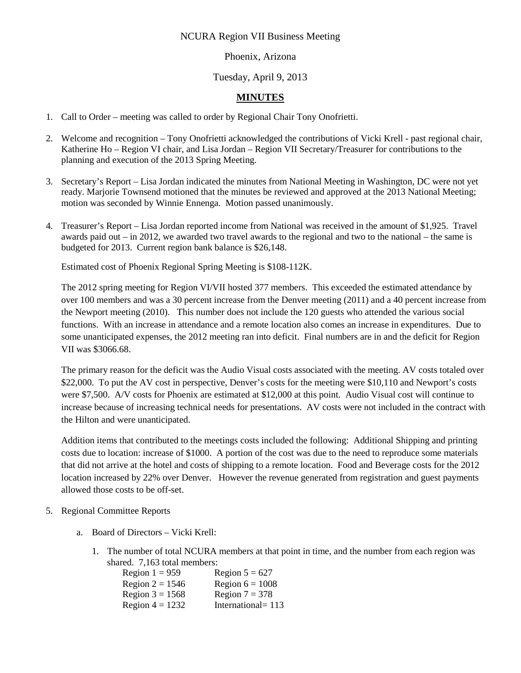# NCURA Region VII Business Meeting

#### Phoenix, Arizona

# Tuesday, April 9, 2013

# **MINUTES**

- 1. Call to Order meeting was called to order by Regional Chair Tony Onofrietti.
- 2. Welcome and recognition Tony Onofrietti acknowledged the contributions of Vicki Krell past regional chair, Katherine Ho – Region VI chair, and Lisa Jordan – Region VII Secretary/Treasurer for contributions to the planning and execution of the 2013 Spring Meeting.
- 3. Secretary's Report Lisa Jordan indicated the minutes from National Meeting in Washington, DC were not yet ready. Marjorie Townsend motioned that the minutes be reviewed and approved at the 2013 National Meeting; motion was seconded by Winnie Ennenga. Motion passed unanimously.
- 4. Treasurer's Report Lisa Jordan reported income from National was received in the amount of \$1,925. Travel awards paid out – in 2012, we awarded two travel awards to the regional and two to the national – the same is budgeted for 2013. Current region bank balance is \$26,148.

Estimated cost of Phoenix Regional Spring Meeting is \$108-112K.

The 2012 spring meeting for Region VI/VII hosted 377 members. This exceeded the estimated attendance by over 100 members and was a 30 percent increase from the Denver meeting (2011) and a 40 percent increase from the Newport meeting (2010). This number does not include the 120 guests who attended the various social functions. With an increase in attendance and a remote location also comes an increase in expenditures. Due to some unanticipated expenses, the 2012 meeting ran into deficit. Final numbers are in and the deficit for Region VII was \$3066.68.

The primary reason for the deficit was the Audio Visual costs associated with the meeting. AV costs totaled over \$22,000. To put the AV cost in perspective, Denver's costs for the meeting were \$10,110 and Newport's costs were \$7,500. A/V costs for Phoenix are estimated at \$12,000 at this point. Audio Visual cost will continue to increase because of increasing technical needs for presentations. AV costs were not included in the contract with the Hilton and were unanticipated.

Addition items that contributed to the meetings costs included the following: Additional Shipping and printing costs due to location: increase of \$1000. A portion of the cost was due to the need to reproduce some materials that did not arrive at the hotel and costs of shipping to a remote location. Food and Beverage costs for the 2012 location increased by 22% over Denver. However the revenue generated from registration and guest payments allowed those costs to be off-set.

- 5. Regional Committee Reports
	- a. Board of Directors Vicki Krell:
		- 1. The number of total NCURA members at that point in time, and the number from each region was shared. 7,163 total members:

| Region $1 = 959$  | Region $5 = 627$   |
|-------------------|--------------------|
| Region $2 = 1546$ | Region $6 = 1008$  |
| Region $3 = 1568$ | Region $7 = 378$   |
| Region $4 = 1232$ | International= 113 |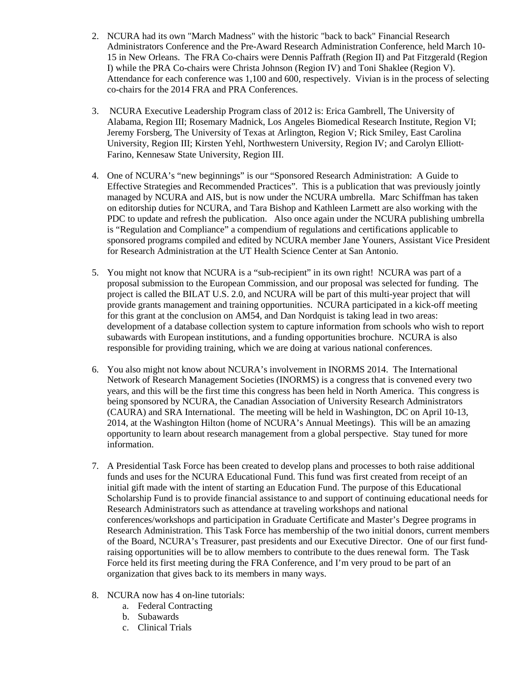- 2. NCURA had its own "March Madness" with the historic "back to back" Financial Research Administrators Conference and the Pre-Award Research Administration Conference, held March 10- 15 in New Orleans. The FRA Co-chairs were Dennis Paffrath (Region II) and Pat Fitzgerald (Region I) while the PRA Co-chairs were Christa Johnson (Region IV) and Toni Shaklee (Region V). Attendance for each conference was 1,100 and 600, respectively. Vivian is in the process of selecting co-chairs for the 2014 FRA and PRA Conferences.
- 3. NCURA Executive Leadership Program class of 2012 is: Erica Gambrell, The University of Alabama, Region III; Rosemary Madnick, Los Angeles Biomedical Research Institute, Region VI; Jeremy Forsberg, The University of Texas at Arlington, Region V; Rick Smiley, East Carolina University, Region III; Kirsten Yehl, Northwestern University, Region IV; and Carolyn Elliott‐ Farino, Kennesaw State University, Region III.
- 4. One of NCURA's "new beginnings" is our "Sponsored Research Administration: A Guide to Effective Strategies and Recommended Practices". This is a publication that was previously jointly managed by NCURA and AIS, but is now under the NCURA umbrella. Marc Schiffman has taken on editorship duties for NCURA, and Tara Bishop and Kathleen Larmett are also working with the PDC to update and refresh the publication. Also once again under the NCURA publishing umbrella is "Regulation and Compliance" a compendium of regulations and certifications applicable to sponsored programs compiled and edited by NCURA member Jane Youners, Assistant Vice President for Research Administration at the UT Health Science Center at San Antonio.
- 5. You might not know that NCURA is a "sub-recipient" in its own right! NCURA was part of a proposal submission to the European Commission, and our proposal was selected for funding. The project is called the BILAT U.S. 2.0, and NCURA will be part of this multi-year project that will provide grants management and training opportunities. NCURA participated in a kick-off meeting for this grant at the conclusion on AM54, and Dan Nordquist is taking lead in two areas: development of a database collection system to capture information from schools who wish to report subawards with European institutions, and a funding opportunities brochure. NCURA is also responsible for providing training, which we are doing at various national conferences.
- 6. You also might not know about NCURA's involvement in INORMS 2014. The International Network of Research Management Societies (INORMS) is a congress that is convened every two years, and this will be the first time this congress has been held in North America. This congress is being sponsored by NCURA, the Canadian Association of University Research Administrators (CAURA) and SRA International. The meeting will be held in Washington, DC on April 10-13, 2014, at the Washington Hilton (home of NCURA's Annual Meetings). This will be an amazing opportunity to learn about research management from a global perspective. Stay tuned for more information.
- 7. A Presidential Task Force has been created to develop plans and processes to both raise additional funds and uses for the NCURA Educational Fund. This fund was first created from receipt of an initial gift made with the intent of starting an Education Fund. The purpose of this Educational Scholarship Fund is to provide financial assistance to and support of continuing educational needs for Research Administrators such as attendance at traveling workshops and national conferences/workshops and participation in Graduate Certificate and Master's Degree programs in Research Administration. This Task Force has membership of the two initial donors, current members of the Board, NCURA's Treasurer, past presidents and our Executive Director. One of our first fund‐ raising opportunities will be to allow members to contribute to the dues renewal form. The Task Force held its first meeting during the FRA Conference, and I'm very proud to be part of an organization that gives back to its members in many ways.
- 8. NCURA now has 4 on-line tutorials:
	- a. Federal Contracting
	- b. Subawards
	- c. Clinical Trials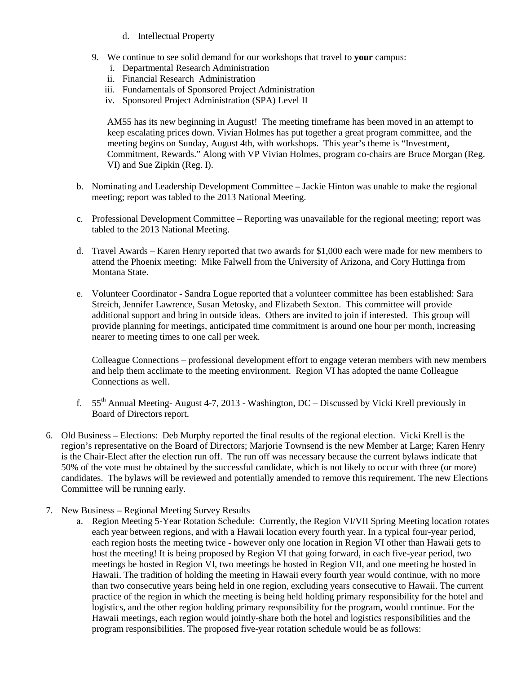- d. Intellectual Property
- 9. We continue to see solid demand for our workshops that travel to **your** campus:
	- i. Departmental Research Administration
	- ii. Financial Research Administration
	- iii. Fundamentals of Sponsored Project Administration
	- iv. Sponsored Project Administration (SPA) Level II

AM55 has its new beginning in August! The meeting timeframe has been moved in an attempt to keep escalating prices down. Vivian Holmes has put together a great program committee, and the meeting begins on Sunday, August 4th, with workshops. This year's theme is "Investment, Commitment, Rewards." Along with VP Vivian Holmes, program co-chairs are Bruce Morgan (Reg. VI) and Sue Zipkin (Reg. I).

- b. Nominating and Leadership Development Committee Jackie Hinton was unable to make the regional meeting; report was tabled to the 2013 National Meeting.
- c. Professional Development Committee Reporting was unavailable for the regional meeting; report was tabled to the 2013 National Meeting.
- d. Travel Awards Karen Henry reported that two awards for \$1,000 each were made for new members to attend the Phoenix meeting: Mike Falwell from the University of Arizona, and Cory Huttinga from Montana State.
- e. Volunteer Coordinator Sandra Logue reported that a volunteer committee has been established: Sara Streich, Jennifer Lawrence, Susan Metosky, and Elizabeth Sexton. This committee will provide additional support and bring in outside ideas. Others are invited to join if interested. This group will provide planning for meetings, anticipated time commitment is around one hour per month, increasing nearer to meeting times to one call per week.

Colleague Connections – professional development effort to engage veteran members with new members and help them acclimate to the meeting environment. Region VI has adopted the name Colleague Connections as well.

- f. 55th Annual Meeting- August 4-7, 2013 Washington, DC Discussed by Vicki Krell previously in Board of Directors report.
- 6. Old Business Elections: Deb Murphy reported the final results of the regional election. Vicki Krell is the region's representative on the Board of Directors; Marjorie Townsend is the new Member at Large; Karen Henry is the Chair-Elect after the election run off. The run off was necessary because the current bylaws indicate that 50% of the vote must be obtained by the successful candidate, which is not likely to occur with three (or more) candidates. The bylaws will be reviewed and potentially amended to remove this requirement. The new Elections Committee will be running early.
- 7. New Business Regional Meeting Survey Results
	- a. Region Meeting 5-Year Rotation Schedule: Currently, the Region VI/VII Spring Meeting location rotates each year between regions, and with a Hawaii location every fourth year. In a typical four-year period, each region hosts the meeting twice - however only one location in Region VI other than Hawaii gets to host the meeting! It is being proposed by Region VI that going forward, in each five-year period, two meetings be hosted in Region VI, two meetings be hosted in Region VII, and one meeting be hosted in Hawaii. The tradition of holding the meeting in Hawaii every fourth year would continue, with no more than two consecutive years being held in one region, excluding years consecutive to Hawaii. The current practice of the region in which the meeting is being held holding primary responsibility for the hotel and logistics, and the other region holding primary responsibility for the program, would continue. For the Hawaii meetings, each region would jointly-share both the hotel and logistics responsibilities and the program responsibilities. The proposed five-year rotation schedule would be as follows: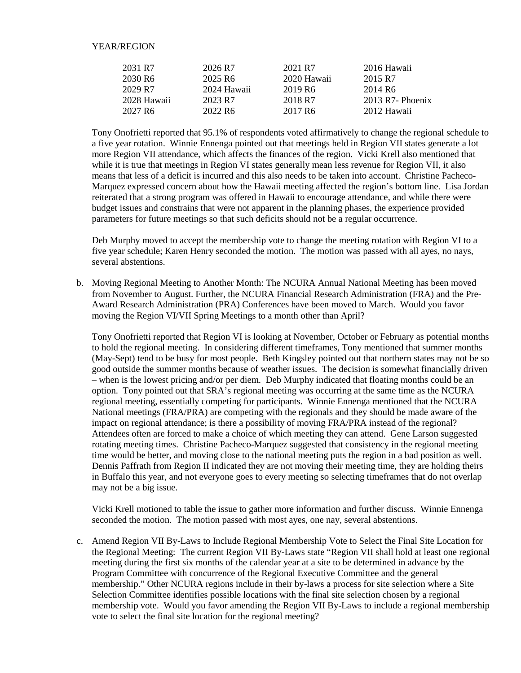#### YEAR/REGION

| 2031 R7             | 2026 R7             | 2021 R7             | 2016 Hawaii         |
|---------------------|---------------------|---------------------|---------------------|
| 2030 R <sub>6</sub> | 2025 R <sub>6</sub> | 2020 Hawaii         | 2015 R7             |
| 2029 R7             | 2024 Hawaii         | 2019 R <sub>6</sub> | 2014 R <sub>6</sub> |
| 2028 Hawaii         | 2023 R7             | 2018 R7             | $2013$ R7- Phoenix  |
| 2027 R <sub>6</sub> | 2022 R <sub>6</sub> | 2017 R <sub>6</sub> | 2012 Hawaii         |

Tony Onofrietti reported that 95.1% of respondents voted affirmatively to change the regional schedule to a five year rotation. Winnie Ennenga pointed out that meetings held in Region VII states generate a lot more Region VII attendance, which affects the finances of the region. Vicki Krell also mentioned that while it is true that meetings in Region VI states generally mean less revenue for Region VII, it also means that less of a deficit is incurred and this also needs to be taken into account. Christine Pacheco-Marquez expressed concern about how the Hawaii meeting affected the region's bottom line. Lisa Jordan reiterated that a strong program was offered in Hawaii to encourage attendance, and while there were budget issues and constrains that were not apparent in the planning phases, the experience provided parameters for future meetings so that such deficits should not be a regular occurrence.

Deb Murphy moved to accept the membership vote to change the meeting rotation with Region VI to a five year schedule; Karen Henry seconded the motion. The motion was passed with all ayes, no nays, several abstentions.

b. Moving Regional Meeting to Another Month: The NCURA Annual National Meeting has been moved from November to August. Further, the NCURA Financial Research Administration (FRA) and the Pre-Award Research Administration (PRA) Conferences have been moved to March. Would you favor moving the Region VI/VII Spring Meetings to a month other than April?

Tony Onofrietti reported that Region VI is looking at November, October or February as potential months to hold the regional meeting. In considering different timeframes, Tony mentioned that summer months (May-Sept) tend to be busy for most people. Beth Kingsley pointed out that northern states may not be so good outside the summer months because of weather issues. The decision is somewhat financially driven – when is the lowest pricing and/or per diem. Deb Murphy indicated that floating months could be an option. Tony pointed out that SRA's regional meeting was occurring at the same time as the NCURA regional meeting, essentially competing for participants. Winnie Ennenga mentioned that the NCURA National meetings (FRA/PRA) are competing with the regionals and they should be made aware of the impact on regional attendance; is there a possibility of moving FRA/PRA instead of the regional? Attendees often are forced to make a choice of which meeting they can attend. Gene Larson suggested rotating meeting times. Christine Pacheco-Marquez suggested that consistency in the regional meeting time would be better, and moving close to the national meeting puts the region in a bad position as well. Dennis Paffrath from Region II indicated they are not moving their meeting time, they are holding theirs in Buffalo this year, and not everyone goes to every meeting so selecting timeframes that do not overlap may not be a big issue.

Vicki Krell motioned to table the issue to gather more information and further discuss. Winnie Ennenga seconded the motion. The motion passed with most ayes, one nay, several abstentions.

c. Amend Region VII By-Laws to Include Regional Membership Vote to Select the Final Site Location for the Regional Meeting: The current Region VII By-Laws state "Region VII shall hold at least one regional meeting during the first six months of the calendar year at a site to be determined in advance by the Program Committee with concurrence of the Regional Executive Committee and the general membership." Other NCURA regions include in their by-laws a process for site selection where a Site Selection Committee identifies possible locations with the final site selection chosen by a regional membership vote. Would you favor amending the Region VII By-Laws to include a regional membership vote to select the final site location for the regional meeting?